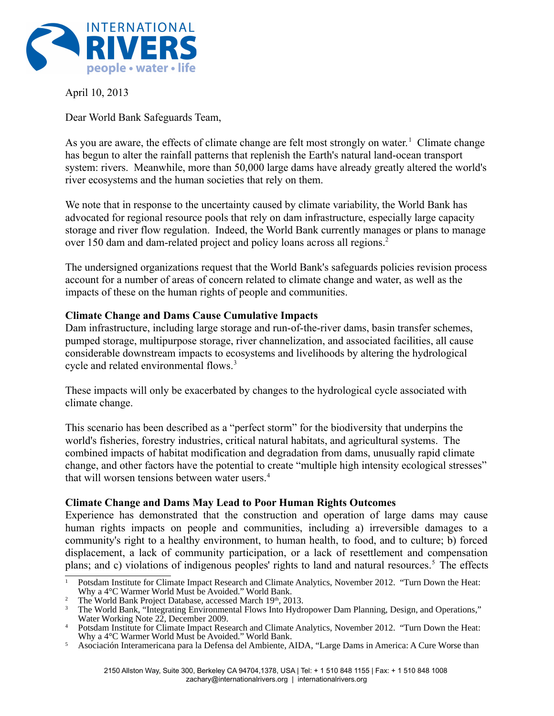

April 10, 2013

Dear World Bank Safeguards Team,

As you are aware, the effects of climate change are felt most strongly on water.<sup>[1](#page-0-0)</sup> Climate change has begun to alter the rainfall patterns that replenish the Earth's natural land-ocean transport system: rivers. Meanwhile, more than 50,000 large dams have already greatly altered the world's river ecosystems and the human societies that rely on them.

We note that in response to the uncertainty caused by climate variability, the World Bank has advocated for regional resource pools that rely on dam infrastructure, especially large capacity storage and river flow regulation. Indeed, the World Bank currently manages or plans to manage over 150 dam and dam-related project and policy loans across all regions.[2](#page-0-1)

The undersigned organizations request that the World Bank's safeguards policies revision process account for a number of areas of concern related to climate change and water, as well as the impacts of these on the human rights of people and communities.

#### **Climate Change and Dams Cause Cumulative Impacts**

Dam infrastructure, including large storage and run-of-the-river dams, basin transfer schemes, pumped storage, multipurpose storage, river channelization, and associated facilities, all cause considerable downstream impacts to ecosystems and livelihoods by altering the hydrological cycle and related environmental flows.<sup>[3](#page-0-2)</sup>

These impacts will only be exacerbated by changes to the hydrological cycle associated with climate change.

This scenario has been described as a "perfect storm" for the biodiversity that underpins the world's fisheries, forestry industries, critical natural habitats, and agricultural systems. The combined impacts of habitat modification and degradation from dams, unusually rapid climate change, and other factors have the potential to create "multiple high intensity ecological stresses" that will worsen tensions between water users.<sup>[4](#page-0-3)</sup>

#### **Climate Change and Dams May Lead to Poor Human Rights Outcomes**

Experience has demonstrated that the construction and operation of large dams may cause human rights impacts on people and communities, including a) irreversible damages to a community's right to a healthy environment, to human health, to food, and to culture; b) forced displacement, a lack of community participation, or a lack of resettlement and compensation plans; and c) violations of indigenous peoples' rights to land and natural resources.<sup>5</sup> The effects

<span id="page-0-0"></span><sup>1</sup> Potsdam Institute for Climate Impact Research and Climate Analytics, November 2012. "Turn Down the Heat: Why a 4°C Warmer World Must be Avoided." World Bank.

<span id="page-0-1"></span><sup>&</sup>lt;sup>2</sup> The World Bank Project Database, accessed March 19<sup>th</sup>, 2013.

<span id="page-0-2"></span><sup>3</sup> The World Bank, "Integrating Environmental Flows Into Hydropower Dam Planning, Design, and Operations," Water Working Note 22, December 2009.

<span id="page-0-3"></span><sup>4</sup> Potsdam Institute for Climate Impact Research and Climate Analytics, November 2012. "Turn Down the Heat: Why a 4°C Warmer World Must be Avoided." World Bank.

<span id="page-0-4"></span><sup>5</sup> Asociación Interamericana para la Defensa del Ambiente, AIDA, "Large Dams in America: A Cure Worse than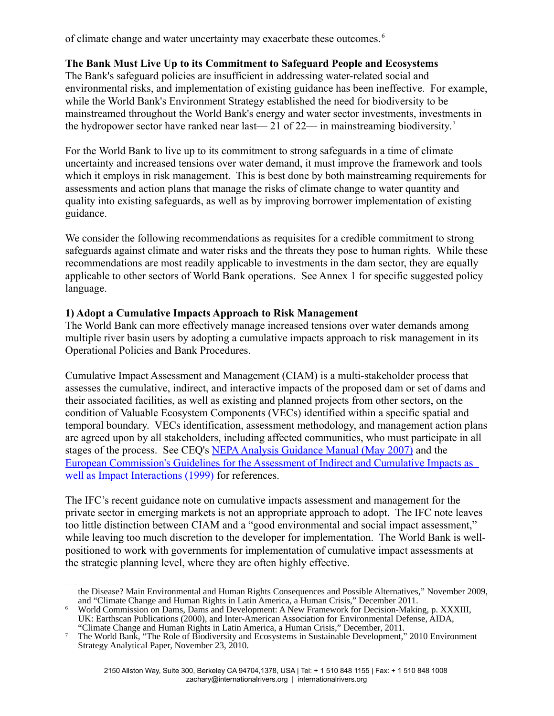of climate change and water uncertainty may exacerbate these outcomes. [6](#page-1-0)

## **The Bank Must Live Up to its Commitment to Safeguard People and Ecosystems**

The Bank's safeguard policies are insufficient in addressing water-related social and environmental risks, and implementation of existing guidance has been ineffective. For example, while the World Bank's Environment Strategy established the need for biodiversity to be mainstreamed throughout the World Bank's energy and water sector investments, investments in the hydropower sector have ranked near last—21 of 22— in mainstreaming biodiversity.<sup>[7](#page-1-1)</sup>

For the World Bank to live up to its commitment to strong safeguards in a time of climate uncertainty and increased tensions over water demand, it must improve the framework and tools which it employs in risk management. This is best done by both mainstreaming requirements for assessments and action plans that manage the risks of climate change to water quantity and quality into existing safeguards, as well as by improving borrower implementation of existing guidance.

We consider the following recommendations as requisites for a credible commitment to strong safeguards against climate and water risks and the threats they pose to human rights. While these recommendations are most readily applicable to investments in the dam sector, they are equally applicable to other sectors of World Bank operations. See Annex 1 for specific suggested policy language.

#### **1) Adopt a Cumulative Impacts Approach to Risk Management**

The World Bank can more effectively manage increased tensions over water demands among multiple river basin users by adopting a cumulative impacts approach to risk management in its Operational Policies and Bank Procedures.

Cumulative Impact Assessment and Management (CIAM) is a multi-stakeholder process that assesses the cumulative, indirect, and interactive impacts of the proposed dam or set of dams and their associated facilities, as well as existing and planned projects from other sectors, on the condition of Valuable Ecosystem Components (VECs) identified within a specific spatial and temporal boundary. VECs identification, assessment methodology, and management action plans are agreed upon by all stakeholders, including affected communities, who must participate in all stages of the process. See CEQ's [NEPA Analysis Guidance Manual \(May 2007\)](http://aec.army.mil/usaec/nepa/nepa-agm.pdf) and the [European Commission's Guidelines for the Assessment of Indirect and Cumulative Impacts as](http://ec.europa.eu/environment/eia/eia-studies-and-reports/guidel.pdf)  [well as Impact Interactions \(1999\)](http://ec.europa.eu/environment/eia/eia-studies-and-reports/guidel.pdf) for references.

The IFC's recent guidance note on cumulative impacts assessment and management for the private sector in emerging markets is not an appropriate approach to adopt. The IFC note leaves too little distinction between CIAM and a "good environmental and social impact assessment," while leaving too much discretion to the developer for implementation. The World Bank is wellpositioned to work with governments for implementation of cumulative impact assessments at the strategic planning level, where they are often highly effective.

the Disease? Main Environmental and Human Rights Consequences and Possible Alternatives," November 2009, and "Climate Change and Human Rights in Latin America, a Human Crisis," December 2011.

<span id="page-1-0"></span><sup>6</sup> World Commission on Dams, Dams and Development: A New Framework for Decision-Making, p. XXXIII, UK: Earthscan Publications (2000), and Inter-American Association for Environmental Defense, AIDA, "Climate Change and Human Rights in Latin America, a Human Crisis," December, 2011.

<span id="page-1-1"></span><sup>&</sup>lt;sup>7</sup> The World Bank, "The Role of Biodiversity and Ecosystems in Sustainable Development," 2010 Environment Strategy Analytical Paper, November 23, 2010.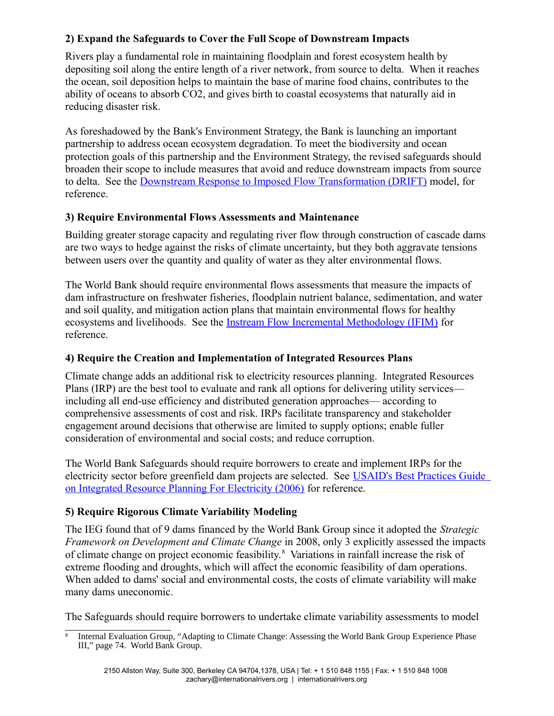# **2) Expand the Safeguards to Cover the Full Scope of Downstream Impacts**

Rivers play a fundamental role in maintaining floodplain and forest ecosystem health by depositing soil along the entire length of a river network, from source to delta. When it reaches the ocean, soil deposition helps to maintain the base of marine food chains, contributes to the ability of oceans to absorb CO2, and gives birth to coastal ecosystems that naturally aid in reducing disaster risk.

As foreshadowed by the Bank's Environment Strategy, the Bank is launching an important partnership to address ocean ecosystem degradation. To meet the biodiversity and ocean protection goals of this partnership and the Environment Strategy, the revised safeguards should broaden their scope to include measures that avoid and reduce downstream impacts from source to delta. See the [Downstream Response to Imposed Flow Transformation \(DRIFT\)](http://www.eflownet.org/downloads/documents/8.%20DRIFT.pdf) model, for reference.

## **3) Require Environmental Flows Assessments and Maintenance**

Building greater storage capacity and regulating river flow through construction of cascade dams are two ways to hedge against the risks of climate uncertainty, but they both aggravate tensions between users over the quantity and quality of water as they alter environmental flows.

The World Bank should require environmental flows assessments that measure the impacts of dam infrastructure on freshwater fisheries, floodplain nutrient balance, sedimentation, and water and soil quality, and mitigation action plans that maintain environmental flows for healthy ecosystems and livelihoods. See the [Instream Flow Incremental Methodology \(IFIM\)](http://www.fort.usgs.gov/products/software/ifim/) for reference.

#### **4) Require the Creation and Implementation of Integrated Resources Plans**

Climate change adds an additional risk to electricity resources planning. Integrated Resources Plans (IRP) are the best tool to evaluate and rank all options for delivering utility services including all end-use efficiency and distributed generation approaches— according to comprehensive assessments of cost and risk. IRPs facilitate transparency and stakeholder engagement around decisions that otherwise are limited to supply options; enable fuller consideration of environmental and social costs; and reduce corruption.

The World Bank Safeguards should require borrowers to create and implement IRPs for the electricity sector before greenfield dam projects are selected. See [USAID's Best Practices Guide](http://pdf.usaid.gov/pdf_docs/PNACQ960.pdf)  [on Integrated Resource Planning For Electricity \(2006\)](http://pdf.usaid.gov/pdf_docs/PNACQ960.pdf) for reference.

# **5) Require Rigorous Climate Variability Modeling**

The IEG found that of 9 dams financed by the World Bank Group since it adopted the *Strategic Framework on Development and Climate Change* in 2008, only 3 explicitly assessed the impacts of climate change on project economic feasibility.<sup>[8](#page-2-0)</sup> Variations in rainfall increase the risk of extreme flooding and droughts, which will affect the economic feasibility of dam operations. When added to dams' social and environmental costs, the costs of climate variability will make many dams uneconomic.

The Safeguards should require borrowers to undertake climate variability assessments to model

<span id="page-2-0"></span><sup>8</sup> Internal Evaluation Group, "Adapting to Climate Change: Assessing the World Bank Group Experience Phase III," page 74. World Bank Group.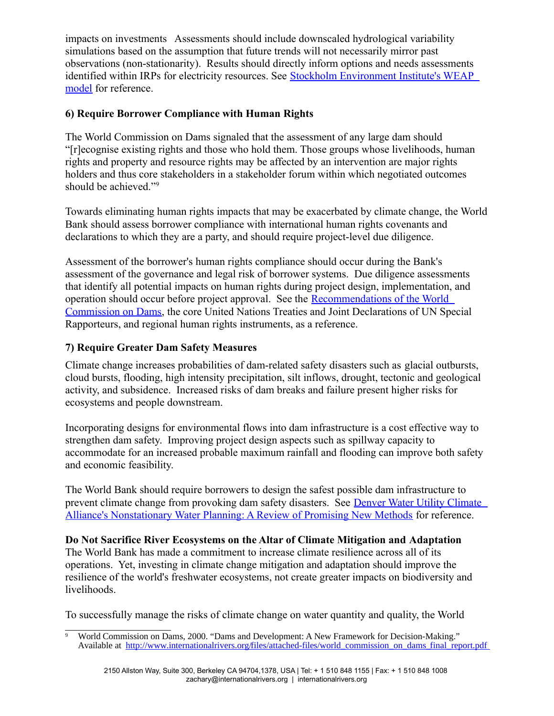impacts on investments Assessments should include downscaled hydrological variability simulations based on the assumption that future trends will not necessarily mirror past observations (non-stationarity). Results should directly inform options and needs assessments identified within IRPs for electricity resources. See [Stockholm Environment Institute's WEAP](http://www.weap21.org/)  [model](http://www.weap21.org/) for reference.

# **6) Require Borrower Compliance with Human Rights**

The World Commission on Dams signaled that the assessment of any large dam should "[r]ecognise existing rights and those who hold them. Those groups whose livelihoods, human rights and property and resource rights may be affected by an intervention are major rights holders and thus core stakeholders in a stakeholder forum within which negotiated outcomes should be achieved."<sup>[9](#page-3-0)</sup>

Towards eliminating human rights impacts that may be exacerbated by climate change, the World Bank should assess borrower compliance with international human rights covenants and declarations to which they are a party, and should require project-level due diligence.

Assessment of the borrower's human rights compliance should occur during the Bank's assessment of the governance and legal risk of borrower systems. Due diligence assessments that identify all potential impacts on human rights during project design, implementation, and operation should occur before project approval. See the [Recommendations of the World](http://www.internationalrivers.org/files/attached-files/world_commission_on_dams_final_report.pdf)  [Commission on Dams,](http://www.internationalrivers.org/files/attached-files/world_commission_on_dams_final_report.pdf) the core United Nations Treaties and Joint Declarations of UN Special Rapporteurs, and regional human rights instruments, as a reference.

## **7) Require Greater Dam Safety Measures**

Climate change increases probabilities of dam-related safety disasters such as glacial outbursts, cloud bursts, flooding, high intensity precipitation, silt inflows, drought, tectonic and geological activity, and subsidence. Increased risks of dam breaks and failure present higher risks for ecosystems and people downstream.

Incorporating designs for environmental flows into dam infrastructure is a cost effective way to strengthen dam safety. Improving project design aspects such as spillway capacity to accommodate for an increased probable maximum rainfall and flooding can improve both safety and economic feasibility.

The World Bank should require borrowers to design the safest possible dam infrastructure to prevent climate change from provoking dam safety disasters. See Denver Water Utility Climate [Alliance's Nonstationary Water Planning: A Review of Promising New Methods](http://www.cwi.colostate.edu/nonstationarityworkshop/SpeakerNotes/Thursday%20Morning/Waage.pdf) for reference.

#### **Do Not Sacrifice River Ecosystems on the Altar of Climate Mitigation and Adaptation**

The World Bank has made a commitment to increase climate resilience across all of its operations. Yet, investing in climate change mitigation and adaptation should improve the resilience of the world's freshwater ecosystems, not create greater impacts on biodiversity and livelihoods.

To successfully manage the risks of climate change on water quantity and quality, the World

<span id="page-3-0"></span><sup>9</sup> World Commission on Dams, 2000. "Dams and Development: A New Framework for Decision-Making." Available at [http://www.internationalrivers.org/files/attached-files/world\\_commission\\_on\\_dams\\_final\\_report.pdf](http://www.internationalrivers.org/files/attached-files/world_commission_on_dams_final_report.pdf)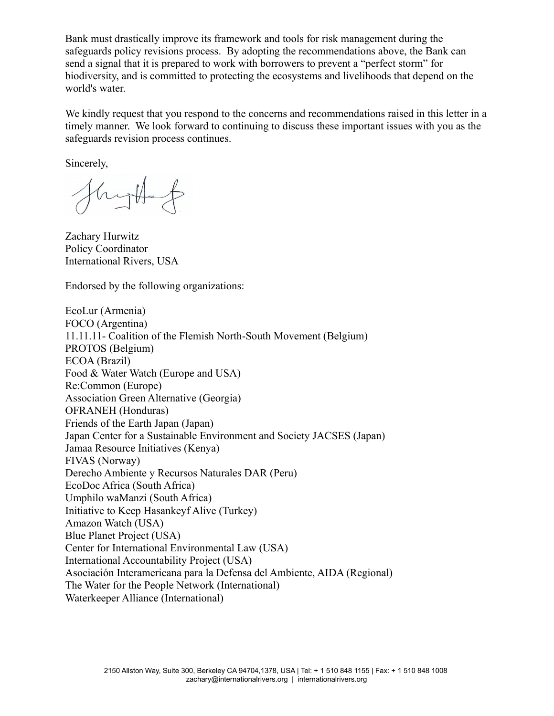Bank must drastically improve its framework and tools for risk management during the safeguards policy revisions process. By adopting the recommendations above, the Bank can send a signal that it is prepared to work with borrowers to prevent a "perfect storm" for biodiversity, and is committed to protecting the ecosystems and livelihoods that depend on the world's water.

We kindly request that you respond to the concerns and recommendations raised in this letter in a timely manner. We look forward to continuing to discuss these important issues with you as the safeguards revision process continues.

Sincerely,

hytte

Zachary Hurwitz Policy Coordinator International Rivers, USA

Endorsed by the following organizations:

EcoLur (Armenia) FOCO (Argentina) 11.11.11- Coalition of the Flemish North-South Movement (Belgium) PROTOS (Belgium) ECOA (Brazil) Food & Water Watch (Europe and USA) Re:Common (Europe) Association Green Alternative (Georgia) OFRANEH (Honduras) Friends of the Earth Japan (Japan) Japan Center for a Sustainable Environment and Society JACSES (Japan) Jamaa Resource Initiatives (Kenya) FIVAS (Norway) Derecho Ambiente y Recursos Naturales DAR (Peru) EcoDoc Africa (South Africa) Umphilo waManzi (South Africa) Initiative to Keep Hasankeyf Alive (Turkey) Amazon Watch (USA) Blue Planet Project (USA) Center for International Environmental Law (USA) International Accountability Project (USA) Asociación Interamericana para la Defensa del Ambiente, AIDA (Regional) The Water for the People Network (International) Waterkeeper Alliance (International)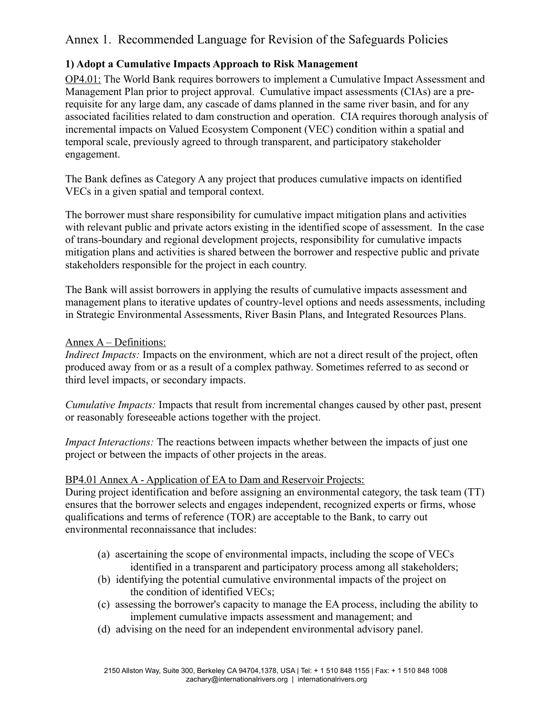# Annex 1. Recommended Language for Revision of the Safeguards Policies

# **1) Adopt a Cumulative Impacts Approach to Risk Management**

OP4.01: The World Bank requires borrowers to implement a Cumulative Impact Assessment and Management Plan prior to project approval. Cumulative impact assessments (CIAs) are a prerequisite for any large dam, any cascade of dams planned in the same river basin, and for any associated facilities related to dam construction and operation. CIA requires thorough analysis of incremental impacts on Valued Ecosystem Component (VEC) condition within a spatial and temporal scale, previously agreed to through transparent, and participatory stakeholder engagement.

The Bank defines as Category A any project that produces cumulative impacts on identified VECs in a given spatial and temporal context.

The borrower must share responsibility for cumulative impact mitigation plans and activities with relevant public and private actors existing in the identified scope of assessment. In the case of trans-boundary and regional development projects, responsibility for cumulative impacts mitigation plans and activities is shared between the borrower and respective public and private stakeholders responsible for the project in each country.

The Bank will assist borrowers in applying the results of cumulative impacts assessment and management plans to iterative updates of country-level options and needs assessments, including in Strategic Environmental Assessments, River Basin Plans, and Integrated Resources Plans.

## Annex A – Definitions:

*Indirect Impacts:* Impacts on the environment, which are not a direct result of the project, often produced away from or as a result of a complex pathway. Sometimes referred to as second or third level impacts, or secondary impacts.

*Cumulative Impacts:* Impacts that result from incremental changes caused by other past, present or reasonably foreseeable actions together with the project.

*Impact Interactions:* The reactions between impacts whether between the impacts of just one project or between the impacts of other projects in the areas.

# BP4.01 Annex A - Application of EA to Dam and Reservoir Projects:

During project identification and before assigning an environmental category, the task team (TT) ensures that the borrower selects and engages independent, recognized experts or firms, whose qualifications and terms of reference (TOR) are acceptable to the Bank, to carry out environmental reconnaissance that includes:

- (a) ascertaining the scope of environmental impacts, including the scope of VECs identified in a transparent and participatory process among all stakeholders;
- (b) identifying the potential cumulative environmental impacts of the project on the condition of identified VECs;
- (c) assessing the borrower's capacity to manage the EA process, including the ability to implement cumulative impacts assessment and management; and
- (d) advising on the need for an independent environmental advisory panel.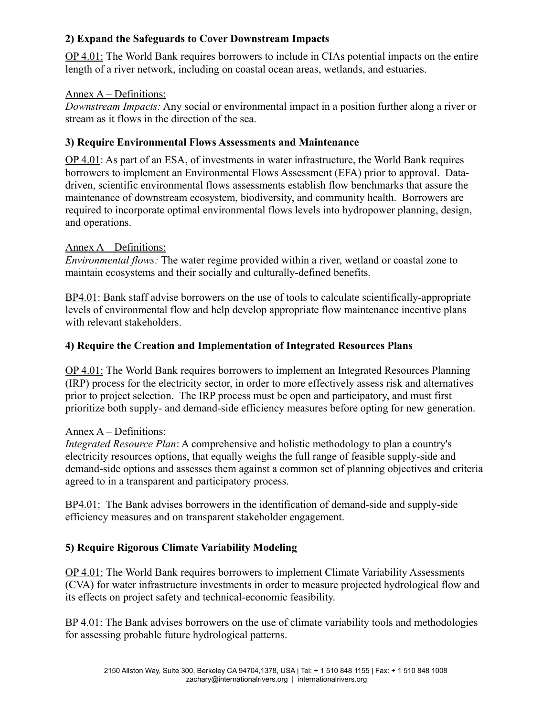# **2) Expand the Safeguards to Cover Downstream Impacts**

OP 4.01: The World Bank requires borrowers to include in CIAs potential impacts on the entire length of a river network, including on coastal ocean areas, wetlands, and estuaries.

## Annex A – Definitions:

*Downstream Impacts:* Any social or environmental impact in a position further along a river or stream as it flows in the direction of the sea.

# **3) Require Environmental Flows Assessments and Maintenance**

OP 4.01: As part of an ESA, of investments in water infrastructure, the World Bank requires borrowers to implement an Environmental Flows Assessment (EFA) prior to approval. Datadriven, scientific environmental flows assessments establish flow benchmarks that assure the maintenance of downstream ecosystem, biodiversity, and community health. Borrowers are required to incorporate optimal environmental flows levels into hydropower planning, design, and operations.

## Annex A – Definitions:

*Environmental flows:* The water regime provided within a river, wetland or coastal zone to maintain ecosystems and their socially and culturally-defined benefits.

BP4.01: Bank staff advise borrowers on the use of tools to calculate scientifically-appropriate levels of environmental flow and help develop appropriate flow maintenance incentive plans with relevant stakeholders.

# **4) Require the Creation and Implementation of Integrated Resources Plans**

OP 4.01: The World Bank requires borrowers to implement an Integrated Resources Planning (IRP) process for the electricity sector, in order to more effectively assess risk and alternatives prior to project selection. The IRP process must be open and participatory, and must first prioritize both supply- and demand-side efficiency measures before opting for new generation.

# Annex A – Definitions:

*Integrated Resource Plan*: A comprehensive and holistic methodology to plan a country's electricity resources options, that equally weighs the full range of feasible supply-side and demand-side options and assesses them against a common set of planning objectives and criteria agreed to in a transparent and participatory process.

BP4.01: The Bank advises borrowers in the identification of demand-side and supply-side efficiency measures and on transparent stakeholder engagement.

# **5) Require Rigorous Climate Variability Modeling**

OP 4.01: The World Bank requires borrowers to implement Climate Variability Assessments (CVA) for water infrastructure investments in order to measure projected hydrological flow and its effects on project safety and technical-economic feasibility.

BP 4.01: The Bank advises borrowers on the use of climate variability tools and methodologies for assessing probable future hydrological patterns.